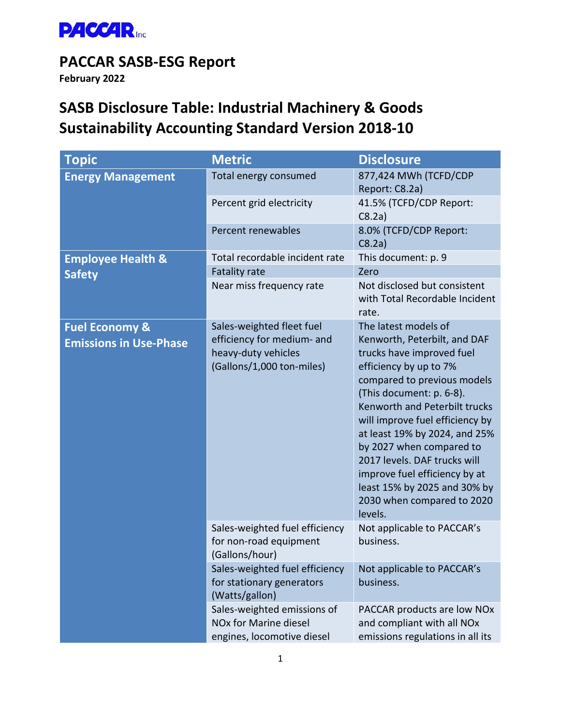

# **PACCAR SASB-ESG Report**

**February 2022**

# **SASB Disclosure Table: Industrial Machinery & Goods Sustainability Accounting Standard Version 2018-10**

| <b>Topic</b>                                               | <b>Metric</b>                                                                                               | <b>Disclosure</b>                                                                                                                                                                                                                                                                                                                                                                                                                                 |
|------------------------------------------------------------|-------------------------------------------------------------------------------------------------------------|---------------------------------------------------------------------------------------------------------------------------------------------------------------------------------------------------------------------------------------------------------------------------------------------------------------------------------------------------------------------------------------------------------------------------------------------------|
| <b>Energy Management</b>                                   | Total energy consumed                                                                                       | 877,424 MWh (TCFD/CDP<br>Report: C8.2a)                                                                                                                                                                                                                                                                                                                                                                                                           |
|                                                            | Percent grid electricity                                                                                    | 41.5% (TCFD/CDP Report:<br>C8.2a)                                                                                                                                                                                                                                                                                                                                                                                                                 |
|                                                            | Percent renewables                                                                                          | 8.0% (TCFD/CDP Report:<br>C8.2a)                                                                                                                                                                                                                                                                                                                                                                                                                  |
| <b>Employee Health &amp;</b><br><b>Safety</b>              | Total recordable incident rate                                                                              | This document: p. 9                                                                                                                                                                                                                                                                                                                                                                                                                               |
|                                                            | <b>Fatality rate</b>                                                                                        | Zero                                                                                                                                                                                                                                                                                                                                                                                                                                              |
|                                                            | Near miss frequency rate                                                                                    | Not disclosed but consistent<br>with Total Recordable Incident<br>rate.                                                                                                                                                                                                                                                                                                                                                                           |
| <b>Fuel Economy &amp;</b><br><b>Emissions in Use-Phase</b> | Sales-weighted fleet fuel<br>efficiency for medium- and<br>heavy-duty vehicles<br>(Gallons/1,000 ton-miles) | The latest models of<br>Kenworth, Peterbilt, and DAF<br>trucks have improved fuel<br>efficiency by up to 7%<br>compared to previous models<br>(This document: p. 6-8).<br>Kenworth and Peterbilt trucks<br>will improve fuel efficiency by<br>at least 19% by 2024, and 25%<br>by 2027 when compared to<br>2017 levels. DAF trucks will<br>improve fuel efficiency by at<br>least 15% by 2025 and 30% by<br>2030 when compared to 2020<br>levels. |
|                                                            | Sales-weighted fuel efficiency<br>for non-road equipment<br>(Gallons/hour)                                  | Not applicable to PACCAR's<br>business.                                                                                                                                                                                                                                                                                                                                                                                                           |
|                                                            | Sales-weighted fuel efficiency<br>for stationary generators<br>(Watts/gallon)                               | Not applicable to PACCAR's<br>business.                                                                                                                                                                                                                                                                                                                                                                                                           |
|                                                            | Sales-weighted emissions of<br>NOx for Marine diesel<br>engines, locomotive diesel                          | PACCAR products are low NOx<br>and compliant with all NOx<br>emissions regulations in all its                                                                                                                                                                                                                                                                                                                                                     |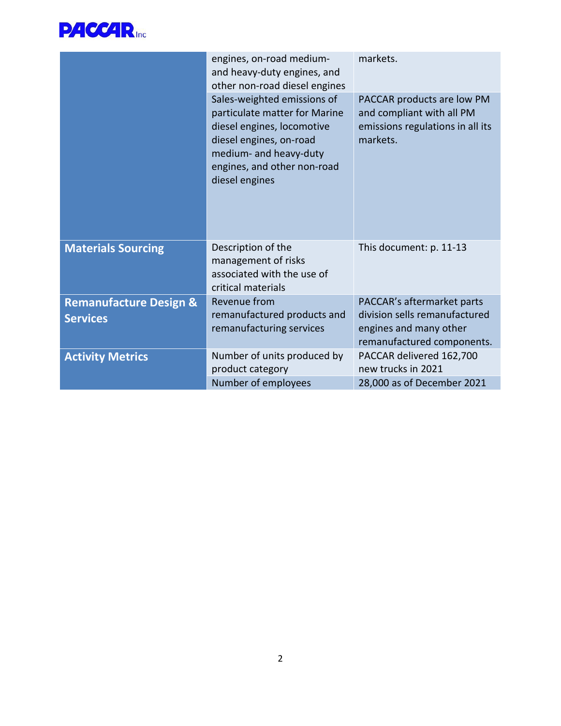

|                                   | engines, on-road medium-<br>and heavy-duty engines, and<br>other non-road diesel engines                                                                                                         | markets.                                                                                                |
|-----------------------------------|--------------------------------------------------------------------------------------------------------------------------------------------------------------------------------------------------|---------------------------------------------------------------------------------------------------------|
|                                   | Sales-weighted emissions of<br>particulate matter for Marine<br>diesel engines, locomotive<br>diesel engines, on-road<br>medium- and heavy-duty<br>engines, and other non-road<br>diesel engines | PACCAR products are low PM<br>and compliant with all PM<br>emissions regulations in all its<br>markets. |
| <b>Materials Sourcing</b>         | Description of the<br>management of risks<br>associated with the use of<br>critical materials                                                                                                    | This document: p. 11-13                                                                                 |
| <b>Remanufacture Design &amp;</b> | Revenue from                                                                                                                                                                                     | PACCAR's aftermarket parts<br>division sells remanufactured                                             |
| <b>Services</b>                   | remanufactured products and<br>remanufacturing services                                                                                                                                          | engines and many other<br>remanufactured components.                                                    |
| <b>Activity Metrics</b>           | Number of units produced by<br>product category                                                                                                                                                  | PACCAR delivered 162,700<br>new trucks in 2021                                                          |
|                                   | Number of employees                                                                                                                                                                              | 28,000 as of December 2021                                                                              |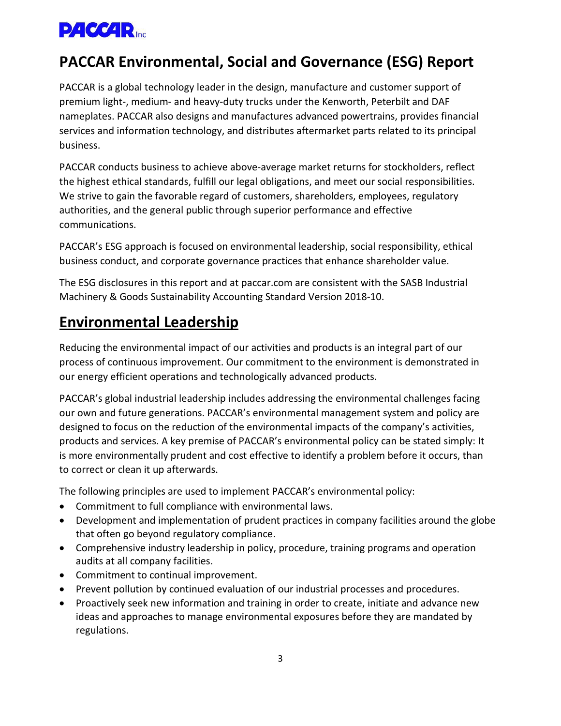

# **PACCAR Environmental, Social and Governance (ESG) Report**

PACCAR is a global technology leader in the design, manufacture and customer support of premium light-, medium- and heavy-duty trucks under the Kenworth, Peterbilt and DAF nameplates. PACCAR also designs and manufactures advanced powertrains, provides financial services and information technology, and distributes aftermarket parts related to its principal business.

PACCAR conducts business to achieve above-average market returns for stockholders, reflect the highest ethical standards, fulfill our legal obligations, and meet our social responsibilities. We strive to gain the favorable regard of customers, shareholders, employees, regulatory authorities, and the general public through superior performance and effective communications.

PACCAR's ESG approach is focused on environmental leadership, social responsibility, ethical business conduct, and corporate governance practices that enhance shareholder value.

The ESG disclosures in this report and at paccar.com are consistent with the SASB Industrial Machinery & Goods Sustainability Accounting Standard Version 2018-10.

# **Environmental Leadership**

Reducing the environmental impact of our activities and products is an integral part of our process of continuous improvement. Our commitment to the environment is demonstrated in our energy efficient operations and technologically advanced products.

PACCAR's global industrial leadership includes addressing the environmental challenges facing our own and future generations. PACCAR's environmental management system and policy are designed to focus on the reduction of the environmental impacts of the company's activities, products and services. A key premise of PACCAR's environmental policy can be stated simply: It is more environmentally prudent and cost effective to identify a problem before it occurs, than to correct or clean it up afterwards.

The following principles are used to implement PACCAR's environmental policy:

- Commitment to full compliance with environmental laws.
- Development and implementation of prudent practices in company facilities around the globe that often go beyond regulatory compliance.
- Comprehensive industry leadership in policy, procedure, training programs and operation audits at all company facilities.
- Commitment to continual improvement.
- Prevent pollution by continued evaluation of our industrial processes and procedures.
- Proactively seek new information and training in order to create, initiate and advance new ideas and approaches to manage environmental exposures before they are mandated by regulations.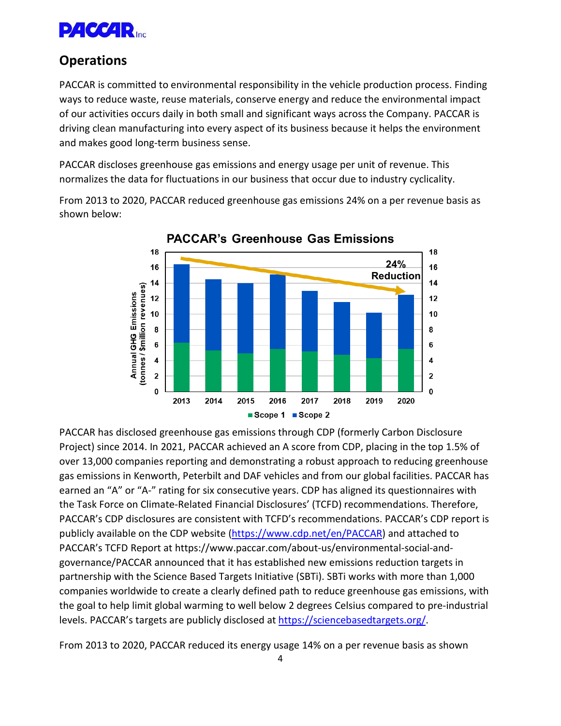

### **Operations**

PACCAR is committed to environmental responsibility in the vehicle production process. Finding ways to reduce waste, reuse materials, conserve energy and reduce the environmental impact of our activities occurs daily in both small and significant ways across the Company. PACCAR is driving clean manufacturing into every aspect of its business because it helps the environment and makes good long-term business sense.

PACCAR discloses greenhouse gas emissions and energy usage per unit of revenue. This normalizes the data for fluctuations in our business that occur due to industry cyclicality.

From 2013 to 2020, PACCAR reduced greenhouse gas emissions 24% on a per revenue basis as shown below:



**PACCAR's Greenhouse Gas Emissions** 

PACCAR has disclosed greenhouse gas emissions through CDP (formerly Carbon Disclosure Project) since 2014. In 2021, PACCAR achieved an A score from CDP, placing in the top 1.5% of over 13,000 companies reporting and demonstrating a robust approach to reducing greenhouse gas emissions in Kenworth, Peterbilt and DAF vehicles and from our global facilities. PACCAR has earned an "A" or "A-" rating for six consecutive years. CDP has aligned its questionnaires with the Task Force on Climate-Related Financial Disclosures' (TCFD) recommendations. Therefore, PACCAR's CDP disclosures are consistent with TCFD's recommendations. PACCAR's CDP report is publicly available on the CDP website [\(https://www.cdp.net/en/PACCAR\)](https://www.cdp.net/en/PACCAR) and attached to PACCAR's TCFD Report at https://www.paccar.com/about-us/environmental-social-andgovernance/PACCAR announced that it has established new emissions reduction targets in partnership with the Science Based Targets Initiative (SBTi). SBTi works with more than 1,000 companies worldwide to create a clearly defined path to reduce greenhouse gas emissions, with the goal to help limit global warming to well below 2 degrees Celsius compared to pre-industrial levels. PACCAR's targets are publicly disclosed at [https://sciencebasedtargets.org/.](https://sciencebasedtargets.org/)

From 2013 to 2020, PACCAR reduced its energy usage 14% on a per revenue basis as shown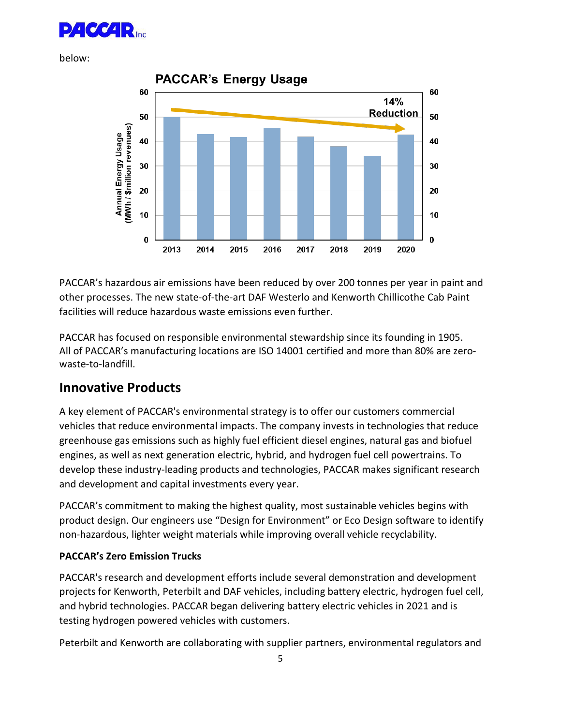

below:



PACCAR's hazardous air emissions have been reduced by over 200 tonnes per year in paint and other processes. The new state-of-the-art DAF Westerlo and Kenworth Chillicothe Cab Paint facilities will reduce hazardous waste emissions even further.

PACCAR has focused on responsible environmental stewardship since its founding in 1905. All of PACCAR's manufacturing locations are ISO 14001 certified and more than 80% are zerowaste-to-landfill.

### **Innovative Products**

A key element of PACCAR's environmental strategy is to offer our customers commercial vehicles that reduce environmental impacts. The company invests in technologies that reduce greenhouse gas emissions such as highly fuel efficient diesel engines, natural gas and biofuel engines, as well as next generation electric, hybrid, and hydrogen fuel cell powertrains. To develop these industry-leading products and technologies, PACCAR makes significant research and development and capital investments every year.

PACCAR's commitment to making the highest quality, most sustainable vehicles begins with product design. Our engineers use "Design for Environment" or Eco Design software to identify non-hazardous, lighter weight materials while improving overall vehicle recyclability.

#### **PACCAR's Zero Emission Trucks**

PACCAR's research and development efforts include several demonstration and development projects for Kenworth, Peterbilt and DAF vehicles, including battery electric, hydrogen fuel cell, and hybrid technologies. PACCAR began delivering battery electric vehicles in 2021 and is testing hydrogen powered vehicles with customers.

Peterbilt and Kenworth are collaborating with supplier partners, environmental regulators and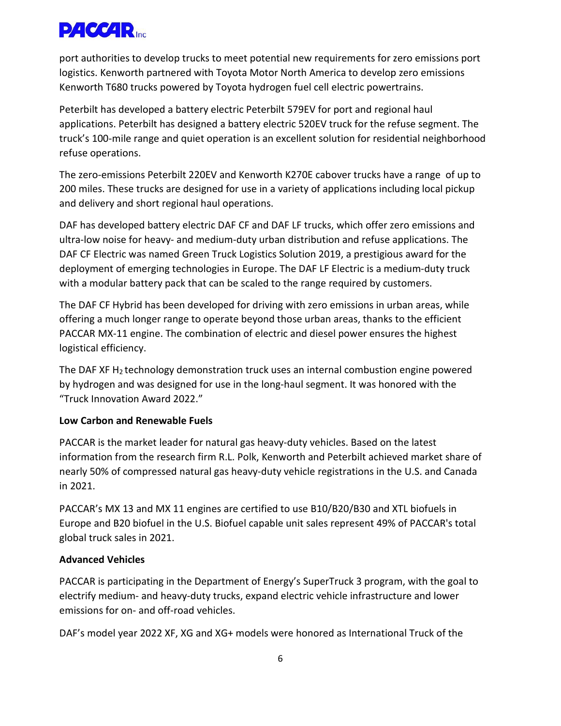

port authorities to develop trucks to meet potential new requirements for zero emissions port logistics. Kenworth partnered with Toyota Motor North America to develop zero emissions Kenworth T680 trucks powered by Toyota hydrogen fuel cell electric powertrains.

Peterbilt has developed a battery electric Peterbilt 579EV for port and regional haul applications. Peterbilt has designed a battery electric 520EV truck for the refuse segment. The truck's 100-mile range and quiet operation is an excellent solution for residential neighborhood refuse operations.

The zero-emissions Peterbilt 220EV and Kenworth K270E cabover trucks have a range of up to 200 miles. These trucks are designed for use in a variety of applications including local pickup and delivery and short regional haul operations.

DAF has developed battery electric DAF CF and DAF LF trucks, which offer zero emissions and ultra-low noise for heavy- and medium-duty urban distribution and refuse applications. The DAF CF Electric was named Green Truck Logistics Solution 2019, a prestigious award for the deployment of emerging technologies in Europe. The DAF LF Electric is a medium-duty truck with a modular battery pack that can be scaled to the range required by customers.

The DAF CF Hybrid has been developed for driving with zero emissions in urban areas, while offering a much longer range to operate beyond those urban areas, thanks to the efficient PACCAR MX-11 engine. The combination of electric and diesel power ensures the highest logistical efficiency.

The DAF XF  $H_2$  technology demonstration truck uses an internal combustion engine powered by hydrogen and was designed for use in the long-haul segment. It was honored with the "Truck Innovation Award 2022."

#### **Low Carbon and Renewable Fuels**

PACCAR is the market leader for natural gas heavy-duty vehicles. Based on the latest information from the research firm R.L. Polk, Kenworth and Peterbilt achieved market share of nearly 50% of compressed natural gas heavy-duty vehicle registrations in the U.S. and Canada in 2021.

PACCAR's MX 13 and MX 11 engines are certified to use B10/B20/B30 and XTL biofuels in Europe and B20 biofuel in the U.S. Biofuel capable unit sales represent 49% of PACCAR's total global truck sales in 2021.

#### **Advanced Vehicles**

PACCAR is participating in the Department of Energy's SuperTruck 3 program, with the goal to electrify medium- and heavy-duty trucks, expand electric vehicle infrastructure and lower emissions for on- and off-road vehicles.

DAF's model year 2022 XF, XG and XG+ models were honored as International Truck of the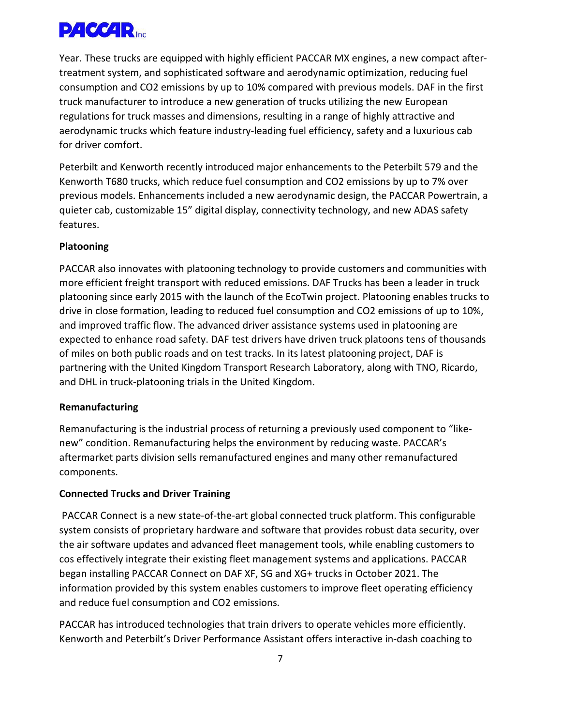

Year. These trucks are equipped with highly efficient PACCAR MX engines, a new compact aftertreatment system, and sophisticated software and aerodynamic optimization, reducing fuel consumption and CO2 emissions by up to 10% compared with previous models. DAF in the first truck manufacturer to introduce a new generation of trucks utilizing the new European regulations for truck masses and dimensions, resulting in a range of highly attractive and aerodynamic trucks which feature industry-leading fuel efficiency, safety and a luxurious cab for driver comfort.

Peterbilt and Kenworth recently introduced major enhancements to the Peterbilt 579 and the Kenworth T680 trucks, which reduce fuel consumption and CO2 emissions by up to 7% over previous models. Enhancements included a new aerodynamic design, the PACCAR Powertrain, a quieter cab, customizable 15" digital display, connectivity technology, and new ADAS safety features.

#### **Platooning**

PACCAR also innovates with platooning technology to provide customers and communities with more efficient freight transport with reduced emissions. DAF Trucks has been a leader in truck platooning since early 2015 with the launch of the EcoTwin project. Platooning enables trucks to drive in close formation, leading to reduced fuel consumption and CO2 emissions of up to 10%, and improved traffic flow. The advanced driver assistance systems used in platooning are expected to enhance road safety. DAF test drivers have driven truck platoons tens of thousands of miles on both public roads and on test tracks. In its latest platooning project, DAF is partnering with the United Kingdom Transport Research Laboratory, along with TNO, Ricardo, and DHL in truck-platooning trials in the United Kingdom.

#### **Remanufacturing**

Remanufacturing is the industrial process of returning a previously used component to "likenew" condition. Remanufacturing helps the environment by reducing waste. PACCAR's aftermarket parts division sells remanufactured engines and many other remanufactured components.

#### **Connected Trucks and Driver Training**

PACCAR Connect is a new state-of-the-art global connected truck platform. This configurable system consists of proprietary hardware and software that provides robust data security, over the air software updates and advanced fleet management tools, while enabling customers to cos effectively integrate their existing fleet management systems and applications. PACCAR began installing PACCAR Connect on DAF XF, SG and XG+ trucks in October 2021. The information provided by this system enables customers to improve fleet operating efficiency and reduce fuel consumption and CO2 emissions.

PACCAR has introduced technologies that train drivers to operate vehicles more efficiently. Kenworth and Peterbilt's Driver Performance Assistant offers interactive in-dash coaching to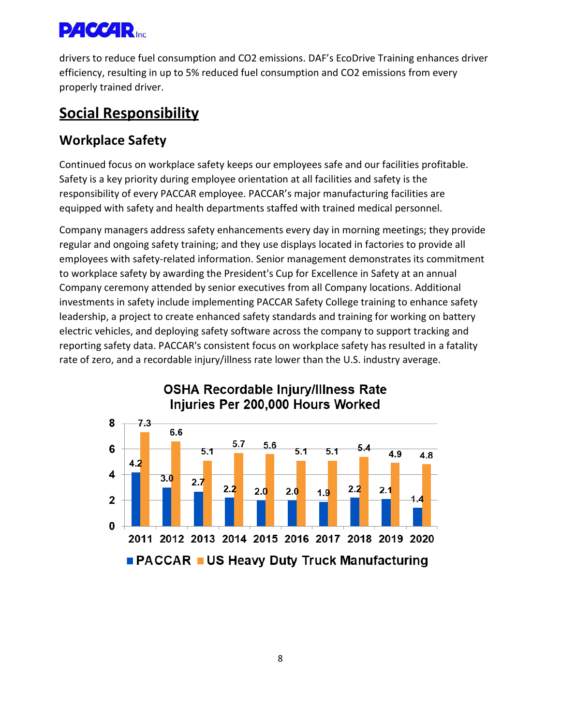

drivers to reduce fuel consumption and CO2 emissions. DAF's EcoDrive Training enhances driver efficiency, resulting in up to 5% reduced fuel consumption and CO2 emissions from every properly trained driver.

# **Social Responsibility**

## **Workplace Safety**

Continued focus on workplace safety keeps our employees safe and our facilities profitable. Safety is a key priority during employee orientation at all facilities and safety is the responsibility of every PACCAR employee. PACCAR's major manufacturing facilities are equipped with safety and health departments staffed with trained medical personnel.

Company managers address safety enhancements every day in morning meetings; they provide regular and ongoing safety training; and they use displays located in factories to provide all employees with safety-related information. Senior management demonstrates its commitment to workplace safety by awarding the President's Cup for Excellence in Safety at an annual Company ceremony attended by senior executives from all Company locations. Additional investments in safety include implementing PACCAR Safety College training to enhance safety leadership, a project to create enhanced safety standards and training for working on battery electric vehicles, and deploying safety software across the company to support tracking and reporting safety data. PACCAR's consistent focus on workplace safety has resulted in a fatality rate of zero, and a recordable injury/illness rate lower than the U.S. industry average.



### **OSHA Recordable Injury/Illness Rate** Injuries Per 200,000 Hours Worked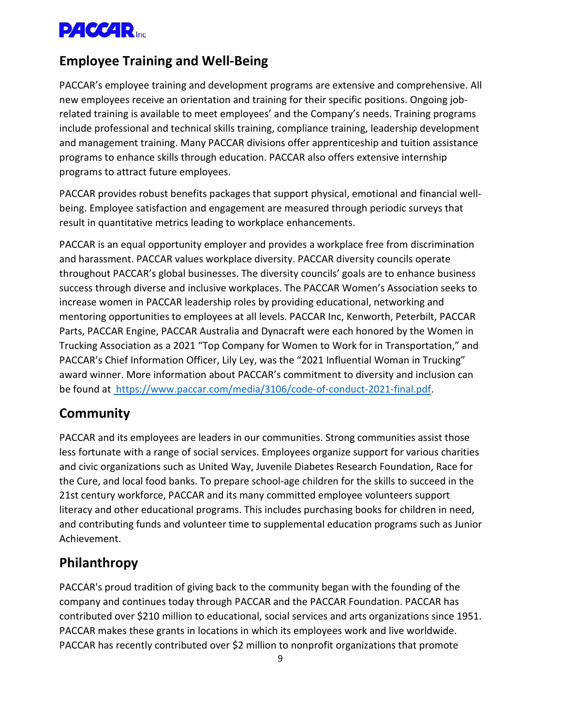

### **Employee Training and Well-Being**

PACCAR's employee training and development programs are extensive and comprehensive. All new employees receive an orientation and training for their specific positions. Ongoing jobrelated training is available to meet employees' and the Company's needs. Training programs include professional and technical skills training, compliance training, leadership development and management training. Many PACCAR divisions offer apprenticeship and tuition assistance programs to enhance skills through education. PACCAR also offers extensive internship programs to attract future employees.

PACCAR provides robust benefits packages that support physical, emotional and financial wellbeing. Employee satisfaction and engagement are measured through periodic surveys that result in quantitative metrics leading to workplace enhancements.

PACCAR is an equal opportunity employer and provides a workplace free from discrimination and harassment. PACCAR values workplace diversity. PACCAR diversity councils operate throughout PACCAR's global businesses. The diversity councils' goals are to enhance business success through diverse and inclusive workplaces. The PACCAR Women's Association seeks to increase women in PACCAR leadership roles by providing educational, networking and mentoring opportunities to employees at all levels. PACCAR Inc, Kenworth, Peterbilt, PACCAR Parts, PACCAR Engine, PACCAR Australia and Dynacraft were each honored by the Women in Trucking Association as a 2021 "Top Company for Women to Work for in Transportation," and PACCAR's Chief Information Officer, Lily Ley, was the "2021 Influential Woman in Trucking" award winner. More information about PACCAR's commitment to diversity and inclusion can be found at https://www.paccar.com/media/3106/code-of-conduct-2021-final.pdf.

#### **Community**

PACCAR and its employees are leaders in our communities. Strong communities assist those less fortunate with a range of social services. Employees organize support for various charities and civic organizations such as United Way, Juvenile Diabetes Research Foundation, Race for the Cure, and local food banks. To prepare school-age children for the skills to succeed in the 21st century workforce, PACCAR and its many committed employee volunteers support literacy and other educational programs. This includes purchasing books for children in need, and contributing funds and volunteer time to supplemental education programs such as Junior Achievement.

### **Philanthropy**

PACCAR's proud tradition of giving back to the community began with the founding of the company and continues today through PACCAR and the PACCAR Foundation. PACCAR has contributed over \$210 million to educational, social services and arts organizations since 1951. PACCAR makes these grants in locations in which its employees work and live worldwide. PACCAR has recently contributed over \$2 million to nonprofit organizations that promote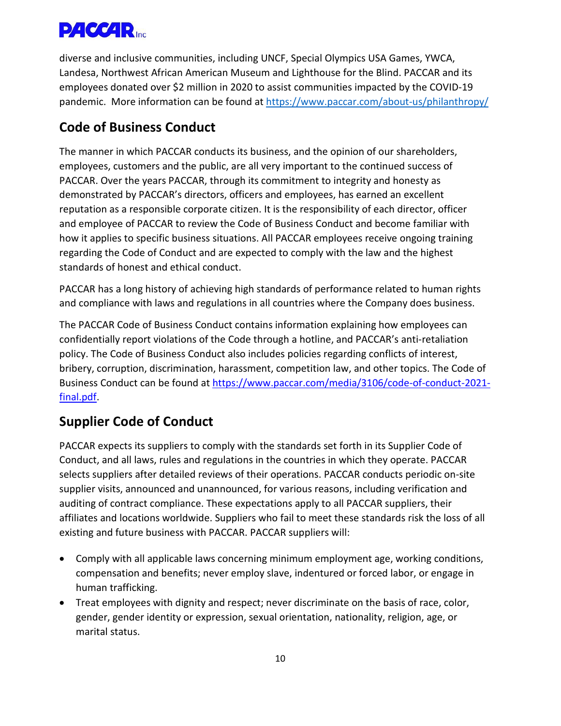

diverse and inclusive communities, including UNCF, Special Olympics USA Games, YWCA, Landesa, Northwest African American Museum and Lighthouse for the Blind. PACCAR and its employees donated over \$2 million in 2020 to assist communities impacted by the COVID-19 pandemic. More information can be found at<https://www.paccar.com/about-us/philanthropy/>

## **Code of Business Conduct**

The manner in which PACCAR conducts its business, and the opinion of our shareholders, employees, customers and the public, are all very important to the continued success of PACCAR. Over the years PACCAR, through its commitment to integrity and honesty as demonstrated by PACCAR's directors, officers and employees, has earned an excellent reputation as a responsible corporate citizen. It is the responsibility of each director, officer and employee of PACCAR to review the Code of Business Conduct and become familiar with how it applies to specific business situations. All PACCAR employees receive ongoing training regarding the Code of Conduct and are expected to comply with the law and the highest standards of honest and ethical conduct.

PACCAR has a long history of achieving high standards of performance related to human rights and compliance with laws and regulations in all countries where the Company does business.

The PACCAR Code of Business Conduct contains information explaining how employees can confidentially report violations of the Code through a hotline, and PACCAR's anti-retaliation policy. The Code of Business Conduct also includes policies regarding conflicts of interest, bribery, corruption, discrimination, harassment, competition law, and other topics. The Code of Business Conduct can be found at [https://www.paccar.com/media/3106/code-of-conduct-2021](https://www.paccar.com/media/3106/code-of-conduct-2021-final.pdf) [final.pdf.](https://www.paccar.com/media/3106/code-of-conduct-2021-final.pdf)

## **Supplier Code of Conduct**

PACCAR expects its suppliers to comply with the standards set forth in its Supplier Code of Conduct, and all laws, rules and regulations in the countries in which they operate. PACCAR selects suppliers after detailed reviews of their operations. PACCAR conducts periodic on-site supplier visits, announced and unannounced, for various reasons, including verification and auditing of contract compliance. These expectations apply to all PACCAR suppliers, their affiliates and locations worldwide. Suppliers who fail to meet these standards risk the loss of all existing and future business with PACCAR. PACCAR suppliers will:

- Comply with all applicable laws concerning minimum employment age, working conditions, compensation and benefits; never employ slave, indentured or forced labor, or engage in human trafficking.
- Treat employees with dignity and respect; never discriminate on the basis of race, color, gender, gender identity or expression, sexual orientation, nationality, religion, age, or marital status.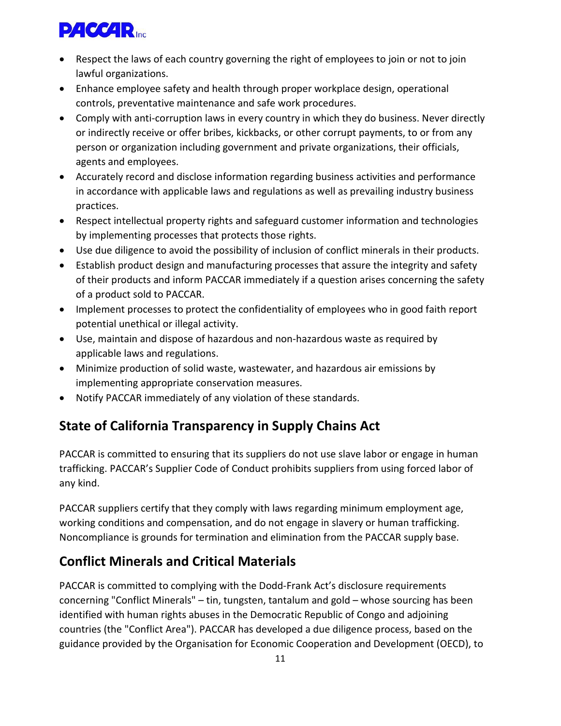

- Respect the laws of each country governing the right of employees to join or not to join lawful organizations.
- Enhance employee safety and health through proper workplace design, operational controls, preventative maintenance and safe work procedures.
- Comply with anti-corruption laws in every country in which they do business. Never directly or indirectly receive or offer bribes, kickbacks, or other corrupt payments, to or from any person or organization including government and private organizations, their officials, agents and employees.
- Accurately record and disclose information regarding business activities and performance in accordance with applicable laws and regulations as well as prevailing industry business practices.
- Respect intellectual property rights and safeguard customer information and technologies by implementing processes that protects those rights.
- Use due diligence to avoid the possibility of inclusion of conflict minerals in their products.
- Establish product design and manufacturing processes that assure the integrity and safety of their products and inform PACCAR immediately if a question arises concerning the safety of a product sold to PACCAR.
- Implement processes to protect the confidentiality of employees who in good faith report potential unethical or illegal activity.
- Use, maintain and dispose of hazardous and non-hazardous waste as required by applicable laws and regulations.
- Minimize production of solid waste, wastewater, and hazardous air emissions by implementing appropriate conservation measures.
- Notify PACCAR immediately of any violation of these standards.

# **State of California Transparency in Supply Chains Act**

PACCAR is committed to ensuring that its suppliers do not use slave labor or engage in human trafficking. PACCAR's Supplier Code of Conduct prohibits suppliers from using forced labor of any kind.

PACCAR suppliers certify that they comply with laws regarding minimum employment age, working conditions and compensation, and do not engage in slavery or human trafficking. Noncompliance is grounds for termination and elimination from the PACCAR supply base.

# **Conflict Minerals and Critical Materials**

PACCAR is committed to complying with the Dodd-Frank Act's disclosure requirements concerning "Conflict Minerals" – tin, tungsten, tantalum and gold – whose sourcing has been identified with human rights abuses in the Democratic Republic of Congo and adjoining countries (the "Conflict Area"). PACCAR has developed a due diligence process, based on the guidance provided by the Organisation for Economic Cooperation and Development (OECD), to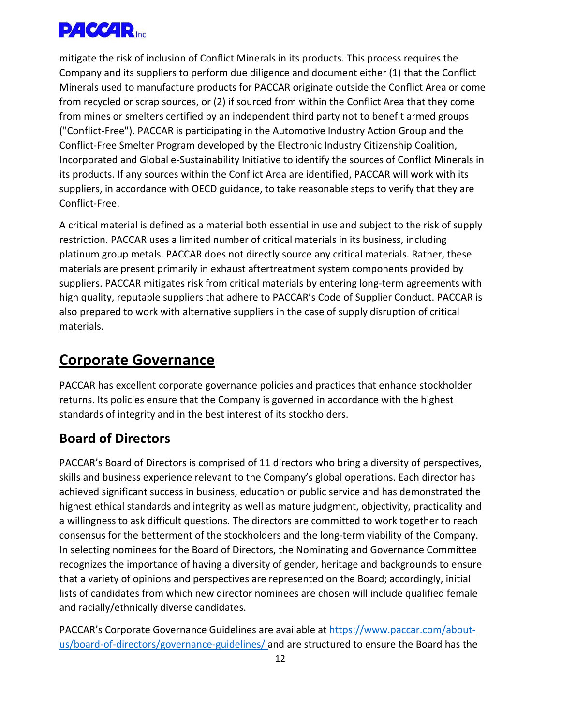

mitigate the risk of inclusion of Conflict Minerals in its products. This process requires the Company and its suppliers to perform due diligence and document either (1) that the Conflict Minerals used to manufacture products for PACCAR originate outside the Conflict Area or come from recycled or scrap sources, or (2) if sourced from within the Conflict Area that they come from mines or smelters certified by an independent third party not to benefit armed groups ("Conflict-Free"). PACCAR is participating in the Automotive Industry Action Group and the Conflict-Free Smelter Program developed by the Electronic Industry Citizenship Coalition, Incorporated and Global e-Sustainability Initiative to identify the sources of Conflict Minerals in its products. If any sources within the Conflict Area are identified, PACCAR will work with its suppliers, in accordance with OECD guidance, to take reasonable steps to verify that they are Conflict-Free.

A critical material is defined as a material both essential in use and subject to the risk of supply restriction. PACCAR uses a limited number of critical materials in its business, including platinum group metals. PACCAR does not directly source any critical materials. Rather, these materials are present primarily in exhaust aftertreatment system components provided by suppliers. PACCAR mitigates risk from critical materials by entering long-term agreements with high quality, reputable suppliers that adhere to PACCAR's Code of Supplier Conduct. PACCAR is also prepared to work with alternative suppliers in the case of supply disruption of critical materials.

# **Corporate Governance**

PACCAR has excellent corporate governance policies and practices that enhance stockholder returns. Its policies ensure that the Company is governed in accordance with the highest standards of integrity and in the best interest of its stockholders.

## **Board of Directors**

PACCAR's Board of Directors is comprised of 11 directors who bring a diversity of perspectives, skills and business experience relevant to the Company's global operations. Each director has achieved significant success in business, education or public service and has demonstrated the highest ethical standards and integrity as well as mature judgment, objectivity, practicality and a willingness to ask difficult questions. The directors are committed to work together to reach consensus for the betterment of the stockholders and the long-term viability of the Company. In selecting nominees for the Board of Directors, the Nominating and Governance Committee recognizes the importance of having a diversity of gender, heritage and backgrounds to ensure that a variety of opinions and perspectives are represented on the Board; accordingly, initial lists of candidates from which new director nominees are chosen will include qualified female and racially/ethnically diverse candidates.

PACCAR's Corporate Governance Guidelines are available at [https://www.paccar.com/about](https://www.paccar.com/about-us/board-of-directors/governance-guidelines/)[us/board-of-directors/governance-guidelines/ a](https://www.paccar.com/about-us/board-of-directors/governance-guidelines/)nd are structured to ensure the Board has the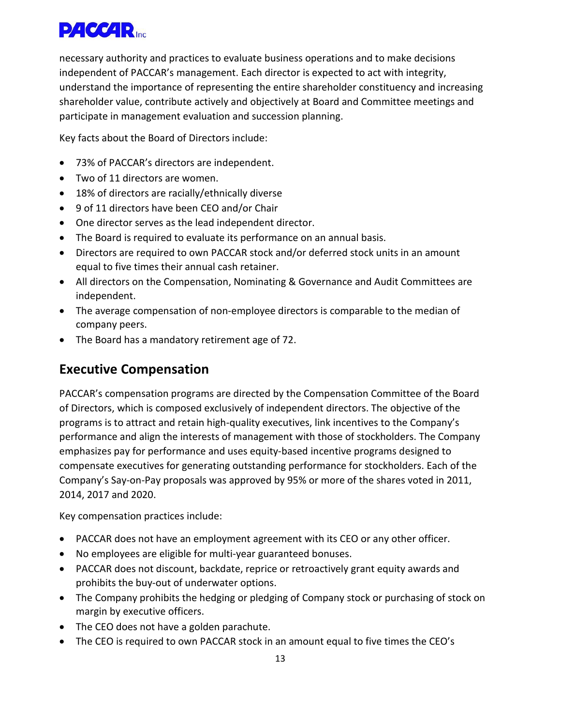

necessary authority and practices to evaluate business operations and to make decisions independent of PACCAR's management. Each director is expected to act with integrity, understand the importance of representing the entire shareholder constituency and increasing shareholder value, contribute actively and objectively at Board and Committee meetings and participate in management evaluation and succession planning.

Key facts about the Board of Directors include:

- 73% of PACCAR's directors are independent.
- Two of 11 directors are women.
- 18% of directors are racially/ethnically diverse
- 9 of 11 directors have been CEO and/or Chair
- One director serves as the lead independent director.
- The Board is required to evaluate its performance on an annual basis.
- Directors are required to own PACCAR stock and/or deferred stock units in an amount equal to five times their annual cash retainer.
- All directors on the Compensation, Nominating & Governance and Audit Committees are independent.
- The average compensation of non-employee directors is comparable to the median of company peers.
- The Board has a mandatory retirement age of 72.

### **Executive Compensation**

PACCAR's compensation programs are directed by the Compensation Committee of the Board of Directors, which is composed exclusively of independent directors. The objective of the programs is to attract and retain high-quality executives, link incentives to the Company's performance and align the interests of management with those of stockholders. The Company emphasizes pay for performance and uses equity-based incentive programs designed to compensate executives for generating outstanding performance for stockholders. Each of the Company's Say-on-Pay proposals was approved by 95% or more of the shares voted in 2011, 2014, 2017 and 2020.

Key compensation practices include:

- PACCAR does not have an employment agreement with its CEO or any other officer.
- No employees are eligible for multi-year guaranteed bonuses.
- PACCAR does not discount, backdate, reprice or retroactively grant equity awards and prohibits the buy-out of underwater options.
- The Company prohibits the hedging or pledging of Company stock or purchasing of stock on margin by executive officers.
- The CEO does not have a golden parachute.
- The CEO is required to own PACCAR stock in an amount equal to five times the CEO's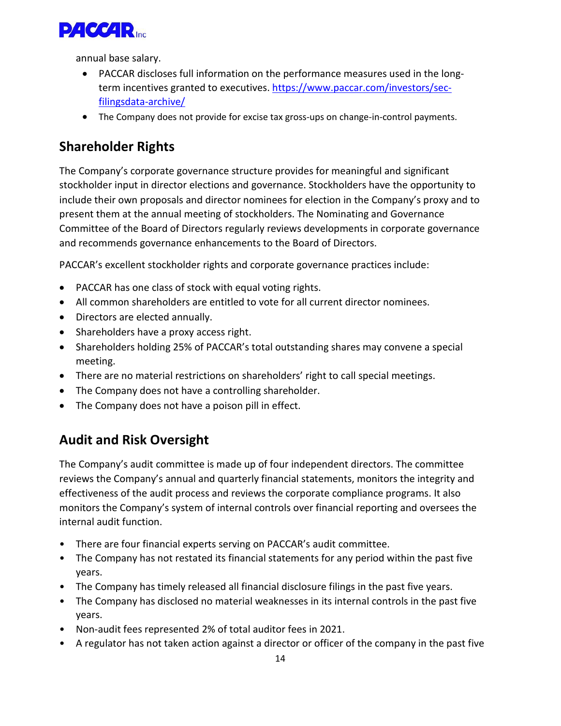

annual base salary.

- PACCAR discloses full information on the performance measures used in the longterm incentives granted to executives. [https://www.paccar.com/investors/sec](https://www.paccar.com/investors/sec-filingsdata-archive/)[filingsdata-archive/](https://www.paccar.com/investors/sec-filingsdata-archive/)
- The Company does not provide for excise tax gross-ups on change-in-control payments.

# **Shareholder Rights**

The Company's corporate governance structure provides for meaningful and significant stockholder input in director elections and governance. Stockholders have the opportunity to include their own proposals and director nominees for election in the Company's proxy and to present them at the annual meeting of stockholders. The Nominating and Governance Committee of the Board of Directors regularly reviews developments in corporate governance and recommends governance enhancements to the Board of Directors.

PACCAR's excellent stockholder rights and corporate governance practices include:

- PACCAR has one class of stock with equal voting rights.
- All common shareholders are entitled to vote for all current director nominees.
- Directors are elected annually.
- Shareholders have a proxy access right.
- Shareholders holding 25% of PACCAR's total outstanding shares may convene a special meeting.
- There are no material restrictions on shareholders' right to call special meetings.
- The Company does not have a controlling shareholder.
- The Company does not have a poison pill in effect.

## **Audit and Risk Oversight**

The Company's audit committee is made up of four independent directors. The committee reviews the Company's annual and quarterly financial statements, monitors the integrity and effectiveness of the audit process and reviews the corporate compliance programs. It also monitors the Company's system of internal controls over financial reporting and oversees the internal audit function.

- There are four financial experts serving on PACCAR's audit committee.
- The Company has not restated its financial statements for any period within the past five years.
- The Company has timely released all financial disclosure filings in the past five years.
- The Company has disclosed no material weaknesses in its internal controls in the past five years.
- Non-audit fees represented 2% of total auditor fees in 2021.
- A regulator has not taken action against a director or officer of the company in the past five